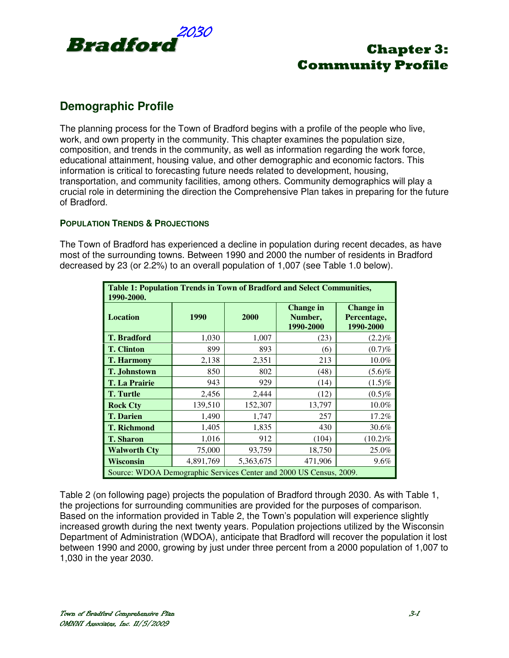

## **Demographic Profile**

The planning process for the Town of Bradford begins with a profile of the people who live, work, and own property in the community. This chapter examines the population size, composition, and trends in the community, as well as information regarding the work force, educational attainment, housing value, and other demographic and economic factors. This information is critical to forecasting future needs related to development, housing, transportation, and community facilities, among others. Community demographics will play a crucial role in determining the direction the Comprehensive Plan takes in preparing for the future of Bradford.

## **POPULATION TRENDS & PROJECTIONS**

The Town of Bradford has experienced a decline in population during recent decades, as have most of the surrounding towns. Between 1990 and 2000 the number of residents in Bradford decreased by 23 (or 2.2%) to an overall population of 1,007 (see Table 1.0 below).

| Table 1: Population Trends in Town of Bradford and Select Communities,<br>1990-2000. |           |           |                                          |                                              |  |  |
|--------------------------------------------------------------------------------------|-----------|-----------|------------------------------------------|----------------------------------------------|--|--|
| <b>Location</b>                                                                      | 1990      | 2000      | <b>Change in</b><br>Number,<br>1990-2000 | <b>Change in</b><br>Percentage,<br>1990-2000 |  |  |
| <b>T.</b> Bradford                                                                   | 1,030     | 1,007     | (23)                                     | $(2.2)\%$                                    |  |  |
| <b>T. Clinton</b>                                                                    | 899       | 893       | (6)                                      | (0.7)%                                       |  |  |
| <b>T. Harmony</b>                                                                    | 2,138     | 2,351     | 213                                      | 10.0%                                        |  |  |
| <b>T. Johnstown</b>                                                                  | 850       | 802       | (48)                                     | $(5.6)\%$                                    |  |  |
| <b>T. La Prairie</b>                                                                 | 943       | 929       | (14)                                     | $(1.5)\%$                                    |  |  |
| <b>T.</b> Turtle                                                                     | 2,456     | 2,444     | (12)                                     | $(0.5)\%$                                    |  |  |
| <b>Rock Cty</b>                                                                      | 139,510   | 152,307   | 13,797                                   | 10.0%                                        |  |  |
| <b>T.</b> Darien                                                                     | 1,490     | 1,747     | 257                                      | 17.2%                                        |  |  |
| <b>T. Richmond</b>                                                                   | 1,405     | 1,835     | 430                                      | 30.6%                                        |  |  |
| <b>T. Sharon</b>                                                                     | 1,016     | 912       | (104)                                    | $(10.2)\%$                                   |  |  |
| <b>Walworth Cty</b>                                                                  | 75,000    | 93,759    | 18,750                                   | 25.0%                                        |  |  |
| <b>Wisconsin</b>                                                                     | 4,891,769 | 5,363,675 | 471,906                                  | $9.6\%$                                      |  |  |
| Source: WDOA Demographic Services Center and 2000 US Census, 2009.                   |           |           |                                          |                                              |  |  |

Table 2 (on following page) projects the population of Bradford through 2030. As with Table 1, the projections for surrounding communities are provided for the purposes of comparison. Based on the information provided in Table 2, the Town's population will experience slightly increased growth during the next twenty years. Population projections utilized by the Wisconsin Department of Administration (WDOA), anticipate that Bradford will recover the population it lost between 1990 and 2000, growing by just under three percent from a 2000 population of 1,007 to 1,030 in the year 2030.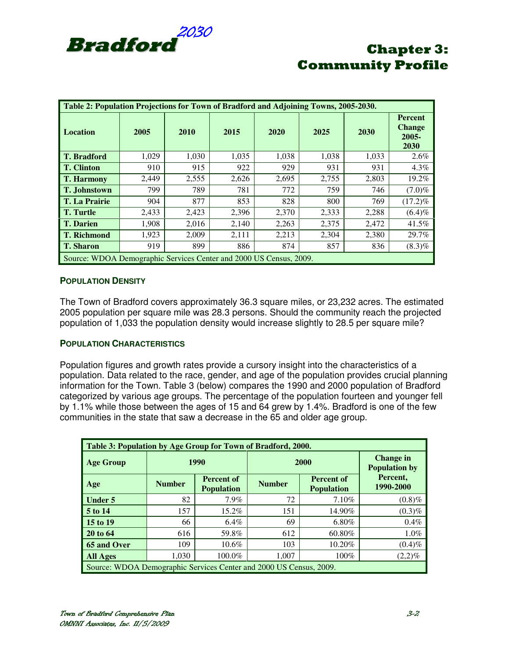

| Table 2: Population Projections for Town of Bradford and Adjoining Towns, 2005-2030. |       |       |       |       |       |       |                                                     |  |
|--------------------------------------------------------------------------------------|-------|-------|-------|-------|-------|-------|-----------------------------------------------------|--|
| <b>Location</b>                                                                      | 2005  | 2010  | 2015  | 2020  | 2025  | 2030  | <b>Percent</b><br><b>Change</b><br>$2005 -$<br>2030 |  |
| <b>T.</b> Bradford                                                                   | 1,029 | 1,030 | 1,035 | 1,038 | 1,038 | 1.033 | 2.6%                                                |  |
| <b>T.</b> Clinton                                                                    | 910   | 915   | 922   | 929   | 931   | 931   | $4.3\%$                                             |  |
| <b>T. Harmony</b>                                                                    | 2,449 | 2,555 | 2,626 | 2,695 | 2,755 | 2,803 | 19.2%                                               |  |
| <b>T. Johnstown</b>                                                                  | 799   | 789   | 781   | 772   | 759   | 746   | $(7.0)\%$                                           |  |
| <b>T. La Prairie</b>                                                                 | 904   | 877   | 853   | 828   | 800   | 769   | $(17.2)\%$                                          |  |
| <b>T.</b> Turtle                                                                     | 2,433 | 2,423 | 2,396 | 2,370 | 2,333 | 2,288 | $(6.4)\%$                                           |  |
| <b>T.</b> Darien                                                                     | 1,908 | 2,016 | 2,140 | 2,263 | 2,375 | 2,472 | 41.5%                                               |  |
| <b>T. Richmond</b>                                                                   | 1,923 | 2,009 | 2,111 | 2,213 | 2,304 | 2,380 | 29.7%                                               |  |
| <b>T. Sharon</b>                                                                     | 919   | 899   | 886   | 874   | 857   | 836   | $(8.3)\%$                                           |  |
| Source: WDOA Demographic Services Center and 2000 US Census, 2009.                   |       |       |       |       |       |       |                                                     |  |

## **POPULATION DENSITY**

The Town of Bradford covers approximately 36.3 square miles, or 23,232 acres. The estimated 2005 population per square mile was 28.3 persons. Should the community reach the projected population of 1,033 the population density would increase slightly to 28.5 per square mile?

### **POPULATION CHARACTERISTICS**

Population figures and growth rates provide a cursory insight into the characteristics of a population. Data related to the race, gender, and age of the population provides crucial planning information for the Town. Table 3 (below) compares the 1990 and 2000 population of Bradford categorized by various age groups. The percentage of the population fourteen and younger fell by 1.1% while those between the ages of 15 and 64 grew by 1.4%. Bradford is one of the few communities in the state that saw a decrease in the 65 and older age group.

| Table 3: Population by Age Group for Town of Bradford, 2000.       |                                               |                                        |                                                         |                                          |                       |  |  |
|--------------------------------------------------------------------|-----------------------------------------------|----------------------------------------|---------------------------------------------------------|------------------------------------------|-----------------------|--|--|
| <b>Age Group</b>                                                   | 1990                                          |                                        | 2000                                                    | <b>Change in</b><br><b>Population by</b> |                       |  |  |
| Age                                                                | <b>Number</b>                                 | <b>Percent of</b><br><b>Population</b> | <b>Percent of</b><br><b>Number</b><br><b>Population</b> |                                          | Percent,<br>1990-2000 |  |  |
| <b>Under 5</b>                                                     | 82                                            | 7.9%                                   | 72                                                      | 7.10%                                    | $(0.8)\%$             |  |  |
| 5 to 14                                                            | 157                                           | 15.2%                                  | 151                                                     | 14.90%                                   | $(0.3)\%$             |  |  |
| 15 to 19                                                           | 66                                            | $6.4\%$                                | 69                                                      | 6.80%                                    | 0.4%                  |  |  |
| 20 to 64                                                           | 616                                           | 59.8%                                  | 612                                                     | 60.80%                                   | 1.0%                  |  |  |
| 65 and Over                                                        | 109                                           | $10.6\%$                               | 103                                                     | 10.20%                                   | $(0.4)\%$             |  |  |
| <b>All Ages</b>                                                    | 1.030<br>100.0%<br>100%<br>1,007<br>$(2,2)\%$ |                                        |                                                         |                                          |                       |  |  |
| Source: WDOA Demographic Services Center and 2000 US Census, 2009. |                                               |                                        |                                                         |                                          |                       |  |  |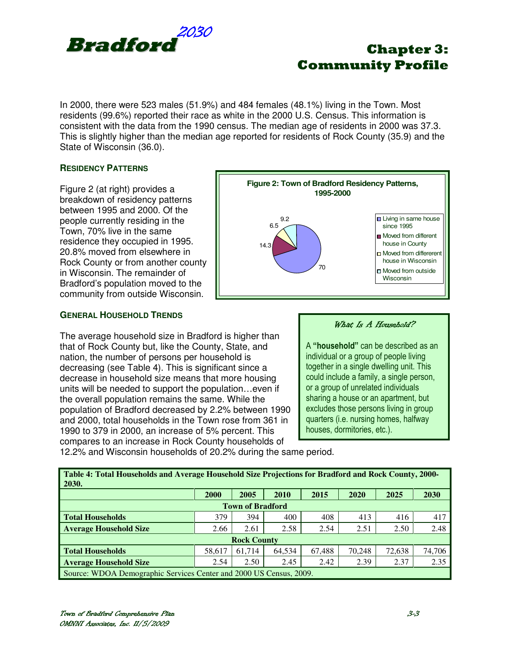

In 2000, there were 523 males (51.9%) and 484 females (48.1%) living in the Town. Most residents (99.6%) reported their race as white in the 2000 U.S. Census. This information is consistent with the data from the 1990 census. The median age of residents in 2000 was 37.3. This is slightly higher than the median age reported for residents of Rock County (35.9) and the State of Wisconsin (36.0).

## **RESIDENCY PATTERNS**

Figure 2 (at right) provides a breakdown of residency patterns between 1995 and 2000. Of the people currently residing in the Town, 70% live in the same residence they occupied in 1995. 20.8% moved from elsewhere in Rock County or from another county in Wisconsin. The remainder of Bradford's population moved to the community from outside Wisconsin.

## **GENERAL HOUSEHOLD TRENDS**

The average household size in Bradford is higher than that of Rock County but, like the County, State, and nation, the number of persons per household is decreasing (see Table 4). This is significant since a decrease in household size means that more housing units will be needed to support the population…even if the overall population remains the same. While the population of Bradford decreased by 2.2% between 1990 and 2000, total households in the Town rose from 361 in 1990 to 379 in 2000, an increase of 5% percent. This compares to an increase in Rock County households of



### What Is A Household?

A "household" can be described as an individual or a group of people living together in a single dwelling unit. This could include a family, a single person, or a group of unrelated individuals sharing a house or an apartment, but excludes those persons living in group quarters (i.e. nursing homes, halfway houses, dormitories, etc.).

12.2% and Wisconsin households of 20.2% during the same period.

| Table 4: Total Households and Average Household Size Projections for Bradford and Rock County, 2000-<br><b>2030.</b> |      |      |      |      |      |      |      |
|----------------------------------------------------------------------------------------------------------------------|------|------|------|------|------|------|------|
|                                                                                                                      | 2000 | 2005 | 2010 | 2015 | 2020 | 2025 | 2030 |
| <b>Town of Bradford</b>                                                                                              |      |      |      |      |      |      |      |
| <b>Total Households</b>                                                                                              | 379  | 394  | 400  | 408  | 413  | 416  | 417  |
| <b>Average Household Size</b>                                                                                        | 2.66 | 2.61 | 2.58 | 2.54 | 2.51 | 2.50 | 2.48 |
| <b>Rock County</b>                                                                                                   |      |      |      |      |      |      |      |
| 67.488<br>74.706<br>61.714<br>70,248<br>72.638<br>64.534<br>58.617<br><b>Total Households</b>                        |      |      |      |      |      |      |      |
| 2.35<br>2.39<br>2.37<br>2.45<br>2.42<br>2.50<br>2.54<br><b>Average Household Size</b>                                |      |      |      |      |      |      |      |
| Source: WDOA Demographic Services Center and 2000 US Census, 2009.                                                   |      |      |      |      |      |      |      |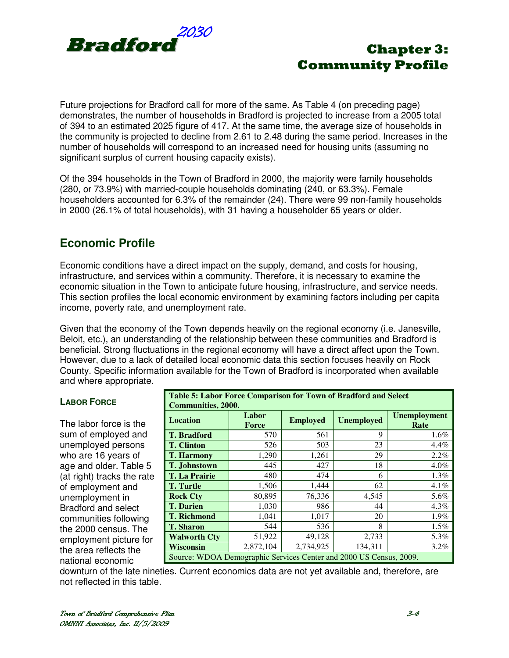

Future projections for Bradford call for more of the same. As Table 4 (on preceding page) demonstrates, the number of households in Bradford is projected to increase from a 2005 total of 394 to an estimated 2025 figure of 417. At the same time, the average size of households in the community is projected to decline from 2.61 to 2.48 during the same period. Increases in the number of households will correspond to an increased need for housing units (assuming no significant surplus of current housing capacity exists).

Of the 394 households in the Town of Bradford in 2000, the majority were family households (280, or 73.9%) with married-couple households dominating (240, or 63.3%). Female householders accounted for 6.3% of the remainder (24). There were 99 non-family households in 2000 (26.1% of total households), with 31 having a householder 65 years or older.

## **Economic Profile**

Economic conditions have a direct impact on the supply, demand, and costs for housing, infrastructure, and services within a community. Therefore, it is necessary to examine the economic situation in the Town to anticipate future housing, infrastructure, and service needs. This section profiles the local economic environment by examining factors including per capita income, poverty rate, and unemployment rate.

Given that the economy of the Town depends heavily on the regional economy (i.e. Janesville, Beloit, etc.), an understanding of the relationship between these communities and Bradford is beneficial. Strong fluctuations in the regional economy will have a direct affect upon the Town. However, due to a lack of detailed local economic data this section focuses heavily on Rock County. Specific information available for the Town of Bradford is incorporated when available and where appropriate.

The labor force is the sum of employed and unemployed persons who are 16 years of age and older. Table 5 (at right) tracks the rate of employment and unemployment in Bradford and select communities following the 2000 census. The employment picture for the area reflects the national economic

| Table 5: Labor Force Comparison for Town of Bradford and Select    |                           |                 |                   |                             |  |  |  |
|--------------------------------------------------------------------|---------------------------|-----------------|-------------------|-----------------------------|--|--|--|
|                                                                    | <b>Communities, 2000.</b> |                 |                   |                             |  |  |  |
| <b>Location</b>                                                    | Labor<br>Force            | <b>Employed</b> | <b>Unemployed</b> | <b>Unemployment</b><br>Rate |  |  |  |
|                                                                    |                           |                 |                   |                             |  |  |  |
| <b>T.</b> Bradford                                                 | 570                       | 561             | 9                 | $1.6\%$                     |  |  |  |
| <b>T.</b> Clinton                                                  | 526                       | 503             | 23                | 4.4%                        |  |  |  |
| <b>T. Harmony</b>                                                  | 1,290                     | 1,261           | 29                | $2.2\%$                     |  |  |  |
| <b>T. Johnstown</b>                                                | 445                       | 427             | 18                | 4.0%                        |  |  |  |
| <b>T. La Prairie</b>                                               | 480                       | 474             | 6                 | 1.3%                        |  |  |  |
| <b>T.</b> Turtle                                                   | 1,506                     | 1,444           | 62                | 4.1%                        |  |  |  |
| <b>Rock Cty</b>                                                    | 80,895                    | 76,336          | 4,545             | 5.6%                        |  |  |  |
| <b>T. Darien</b>                                                   | 1,030                     | 986             | 44                | $4.3\%$                     |  |  |  |
| <b>T. Richmond</b>                                                 | 1,041                     | 1,017           | 20                | 1.9%                        |  |  |  |
| <b>T. Sharon</b>                                                   | 544                       | 536             | 8                 | 1.5%                        |  |  |  |
| <b>Walworth Cty</b>                                                | 51,922                    | 49,128          | 2,733             | 5.3%                        |  |  |  |
| <b>Wisconsin</b>                                                   | 2,872,104                 | 2,734,925       | 134,311           | $3.2\%$                     |  |  |  |
| Source: WDOA Demographic Services Center and 2000 US Census, 2009. |                           |                 |                   |                             |  |  |  |

downturn of the late nineties. Current economics data are not yet available and, therefore, are not reflected in this table.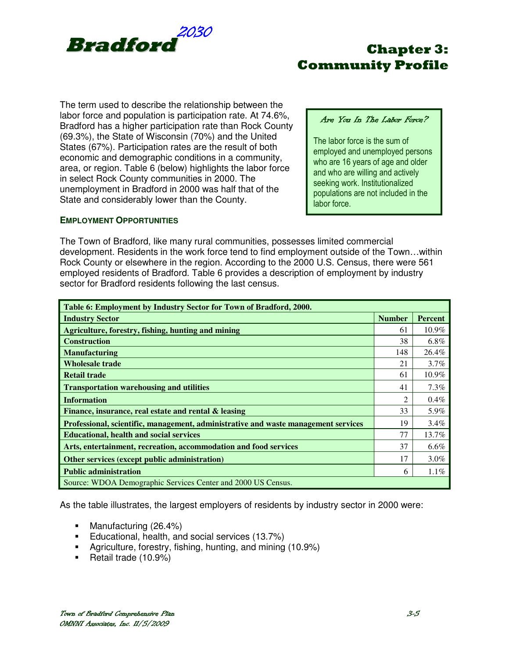

The term used to describe the relationship between the labor force and population is participation rate. At 74.6%, Bradford has a higher participation rate than Rock County (69.3%), the State of Wisconsin (70%) and the United States (67%). Participation rates are the result of both economic and demographic conditions in a community, area, or region. Table 6 (below) highlights the labor force in select Rock County communities in 2000. The unemployment in Bradford in 2000 was half that of the State and considerably lower than the County.

## Are You In The Labor Force?

The labor force is the sum of employed and unemployed persons who are 16 years of age and older and who are willing and actively seeking work. Institutionalized populations are not included in the labor force.

## **EMPLOYMENT OPPORTUNITIES**

The Town of Bradford, like many rural communities, possesses limited commercial development. Residents in the work force tend to find employment outside of the Town…within Rock County or elsewhere in the region. According to the 2000 U.S. Census, there were 561 employed residents of Bradford. Table 6 provides a description of employment by industry sector for Bradford residents following the last census.

| Table 6: Employment by Industry Sector for Town of Bradford, 2000.                 |               |                |  |  |  |
|------------------------------------------------------------------------------------|---------------|----------------|--|--|--|
| <b>Industry Sector</b>                                                             | <b>Number</b> | <b>Percent</b> |  |  |  |
| Agriculture, forestry, fishing, hunting and mining                                 | 61            | $10.9\%$       |  |  |  |
| <b>Construction</b>                                                                | 38            | $6.8\%$        |  |  |  |
| <b>Manufacturing</b>                                                               | 148           | 26.4%          |  |  |  |
| <b>Wholesale trade</b>                                                             | 21            | $3.7\%$        |  |  |  |
| <b>Retail trade</b>                                                                | 61            | 10.9%          |  |  |  |
| <b>Transportation warehousing and utilities</b>                                    | 41            | 7.3%           |  |  |  |
| <b>Information</b>                                                                 | 2             | $0.4\%$        |  |  |  |
| Finance, insurance, real estate and rental & leasing                               | 33            | 5.9%           |  |  |  |
| Professional, scientific, management, administrative and waste management services | 19            | $3.4\%$        |  |  |  |
| <b>Educational, health and social services</b>                                     | 77            | 13.7%          |  |  |  |
| Arts, entertainment, recreation, accommodation and food services                   | 37            | $6.6\%$        |  |  |  |
| Other services (except public administration)                                      | 17            | $3.0\%$        |  |  |  |
| <b>Public administration</b>                                                       | 6             | 1.1%           |  |  |  |
| Source: WDOA Demographic Services Center and 2000 US Census.                       |               |                |  |  |  |

As the table illustrates, the largest employers of residents by industry sector in 2000 were:

- **Manufacturing (26.4%)**
- **Educational, health, and social services (13.7%)**
- Agriculture, forestry, fishing, hunting, and mining (10.9%)
- Retail trade (10.9%)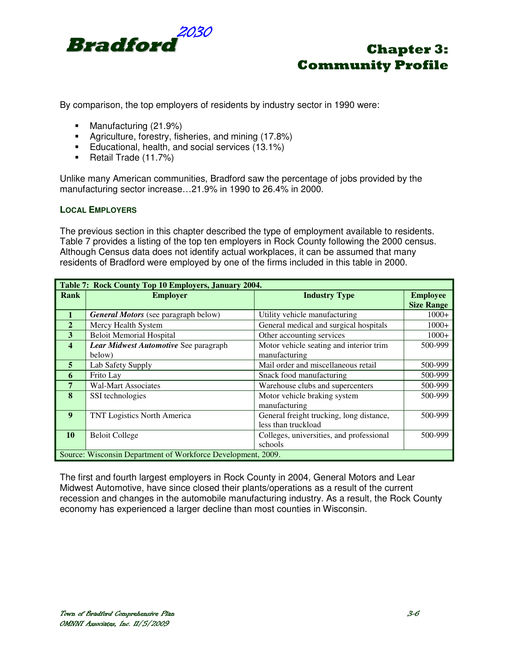

By comparison, the top employers of residents by industry sector in 1990 were:

- Manufacturing (21.9%)
- Agriculture, forestry, fisheries, and mining (17.8%)
- **Educational, health, and social services (13.1%)**
- Retail Trade (11.7%)

Unlike many American communities, Bradford saw the percentage of jobs provided by the manufacturing sector increase…21.9% in 1990 to 26.4% in 2000.

### **LOCAL EMPLOYERS**

The previous section in this chapter described the type of employment available to residents. Table 7 provides a listing of the top ten employers in Rock County following the 2000 census. Although Census data does not identify actual workplaces, it can be assumed that many residents of Bradford were employed by one of the firms included in this table in 2000.

|                         | Table 7: Rock County Top 10 Employers, January 2004.         |                                          |                   |  |  |  |
|-------------------------|--------------------------------------------------------------|------------------------------------------|-------------------|--|--|--|
| <b>Rank</b>             | <b>Employer</b>                                              | <b>Industry Type</b>                     | <b>Employee</b>   |  |  |  |
|                         |                                                              |                                          | <b>Size Range</b> |  |  |  |
| $\mathbf{1}$            | <b>General Motors</b> (see paragraph below)                  | Utility vehicle manufacturing            | $1000+$           |  |  |  |
| $\overline{2}$          | Mercy Health System                                          | General medical and surgical hospitals   | $1000+$           |  |  |  |
| 3                       | <b>Beloit Memorial Hospital</b>                              | Other accounting services                | $1000+$           |  |  |  |
| $\overline{\mathbf{4}}$ | Lear Midwest Automotive See paragraph                        | Motor vehicle seating and interior trim  | 500-999           |  |  |  |
|                         | below)                                                       | manufacturing                            |                   |  |  |  |
| $\overline{5}$          | Lab Safety Supply                                            | Mail order and miscellaneous retail      | 500-999           |  |  |  |
| 6                       | Frito Lay                                                    | Snack food manufacturing                 | 500-999           |  |  |  |
| $\overline{7}$          | <b>Wal-Mart Associates</b>                                   | Warehouse clubs and supercenters         | 500-999           |  |  |  |
| 8                       | SSI technologies                                             | Motor vehicle braking system             | 500-999           |  |  |  |
|                         |                                                              | manufacturing                            |                   |  |  |  |
| 9                       | <b>TNT Logistics North America</b>                           | General freight trucking, long distance, | 500-999           |  |  |  |
|                         |                                                              | less than truckload                      |                   |  |  |  |
| 10                      | <b>Beloit College</b>                                        | Colleges, universities, and professional | 500-999           |  |  |  |
|                         |                                                              | schools                                  |                   |  |  |  |
|                         | Source: Wisconsin Department of Workforce Development, 2009. |                                          |                   |  |  |  |

The first and fourth largest employers in Rock County in 2004, General Motors and Lear Midwest Automotive, have since closed their plants/operations as a result of the current recession and changes in the automobile manufacturing industry. As a result, the Rock County economy has experienced a larger decline than most counties in Wisconsin.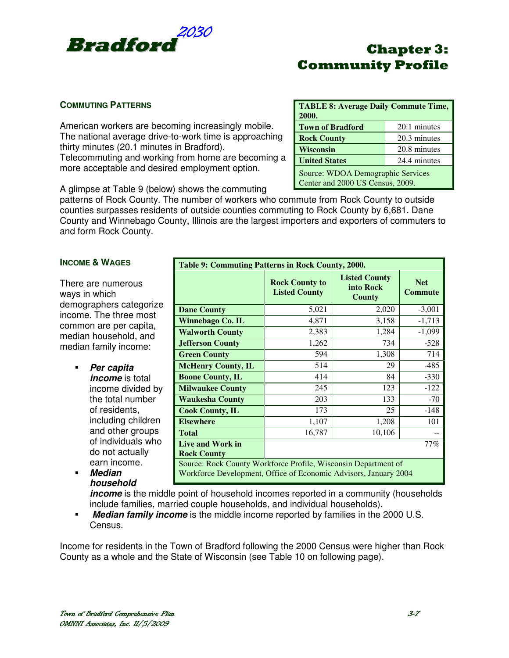

## **COMMUTING PATTERNS**

American workers are becoming increasingly mobile. The national average drive-to-work time is approaching thirty minutes (20.1 minutes in Bradford). Telecommuting and working from home are becoming a more acceptable and desired employment option.

| <b>TABLE 8: Average Daily Commute Time,</b><br>2000. |                                                                       |  |  |  |  |
|------------------------------------------------------|-----------------------------------------------------------------------|--|--|--|--|
| <b>Town of Bradford</b>                              | 20.1 minutes                                                          |  |  |  |  |
| 20.3 minutes<br><b>Rock County</b>                   |                                                                       |  |  |  |  |
| 20.8 minutes<br><b>Wisconsin</b>                     |                                                                       |  |  |  |  |
| 24.4 minutes<br><b>United States</b>                 |                                                                       |  |  |  |  |
|                                                      | Source: WDOA Demographic Services<br>Center and 2000 US Census, 2009. |  |  |  |  |

A glimpse at Table 9 (below) shows the commuting

patterns of Rock County. The number of workers who commute from Rock County to outside counties surpasses residents of outside counties commuting to Rock County by 6,681. Dane County and Winnebago County, Illinois are the largest importers and exporters of commuters to and form Rock County.

## **INCOME & WAGES**

There are numerous ways in which demographers categorize income. The three most common are per capita, median household, and median family income:

- **Per capita income** is total income divided by the total number of residents, including children and other groups of individuals who do not actually earn income.
- **Median household**

| Table 9: Commuting Patterns in Rock County, 2000.                                                                                  |                                               |                                             |                              |  |  |
|------------------------------------------------------------------------------------------------------------------------------------|-----------------------------------------------|---------------------------------------------|------------------------------|--|--|
|                                                                                                                                    | <b>Rock County to</b><br><b>Listed County</b> | <b>Listed County</b><br>into Rock<br>County | <b>Net</b><br><b>Commute</b> |  |  |
| <b>Dane County</b>                                                                                                                 | 5,021                                         | 2,020                                       | $-3,001$                     |  |  |
| Winnebago Co. IL                                                                                                                   | 4,871                                         | 3,158                                       | $-1,713$                     |  |  |
| <b>Walworth County</b>                                                                                                             | 2,383                                         | 1,284                                       | $-1,099$                     |  |  |
| <b>Jefferson County</b>                                                                                                            | 1,262                                         | 734                                         | $-528$                       |  |  |
| <b>Green County</b>                                                                                                                | 594                                           | 1,308                                       | 714                          |  |  |
| <b>McHenry County, IL</b>                                                                                                          | 514                                           | 29                                          | $-485$                       |  |  |
| <b>Boone County, IL</b>                                                                                                            | 414                                           | 84                                          | $-330$                       |  |  |
| <b>Milwaukee County</b>                                                                                                            | 245                                           | 123                                         | $-122$                       |  |  |
| <b>Waukesha County</b>                                                                                                             | 203                                           | 133                                         | $-70$                        |  |  |
| <b>Cook County, IL</b>                                                                                                             | 173                                           | 25                                          | -148                         |  |  |
| <b>Elsewhere</b>                                                                                                                   | 1,107                                         | 1,208                                       | 101                          |  |  |
| <b>Total</b>                                                                                                                       | 16,787                                        | 10,106                                      |                              |  |  |
| $77\%$<br>Live and Work in<br><b>Rock County</b>                                                                                   |                                               |                                             |                              |  |  |
| Source: Rock County Workforce Profile, Wisconsin Department of<br>Workforce Development, Office of Economic Advisors, January 2004 |                                               |                                             |                              |  |  |

**income** is the middle point of household incomes reported in a community (households include families, married couple households, and individual households).

**Median family income** is the middle income reported by families in the 2000 U.S. Census.

Income for residents in the Town of Bradford following the 2000 Census were higher than Rock County as a whole and the State of Wisconsin (see Table 10 on following page).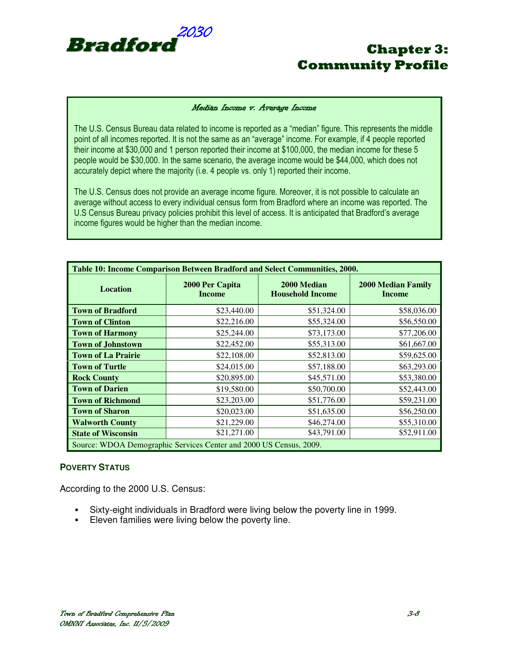

#### Median Income v. Average Income

The U.S. Census Bureau data related to income is reported as a "median" figure. This represents the middle point of all incomes reported. It is not the same as an "average" income. For example, if 4 people reported their income at \$30,000 and 1 person reported their income at \$100,000, the median income for these 5 people would be \$30,000. In the same scenario, the average income would be \$44,000, which does not accurately depict where the majority (i.e. 4 people vs. only 1) reported their income.

The U.S. Census does not provide an average income figure. Moreover, it is not possible to calculate an average without access to every individual census form from Bradford where an income was reported. The U.S Census Bureau privacy policies prohibit this level of access. It is anticipated that Bradford's average income figures would be higher than the median income.

| Table 10: Income Comparison Between Bradford and Select Communities, 2000. |                                  |                                        |                                            |  |  |
|----------------------------------------------------------------------------|----------------------------------|----------------------------------------|--------------------------------------------|--|--|
| <b>Location</b>                                                            | 2000 Per Capita<br><b>Income</b> | 2000 Median<br><b>Household Income</b> | <b>2000 Median Family</b><br><b>Income</b> |  |  |
| <b>Town of Bradford</b>                                                    | \$23,440.00                      | \$51,324.00                            | \$58,036.00                                |  |  |
| <b>Town of Clinton</b>                                                     | \$22,216.00                      | \$55,324.00                            | \$56,550.00                                |  |  |
| <b>Town of Harmony</b>                                                     | \$25,244.00                      | \$73,173.00                            | \$77,206.00                                |  |  |
| <b>Town of Johnstown</b>                                                   | \$22,452.00                      | \$55,313.00                            | \$61,667.00                                |  |  |
| <b>Town of La Prairie</b>                                                  | \$22,108.00                      | \$52,813.00                            | \$59,625.00                                |  |  |
| <b>Town of Turtle</b>                                                      | \$24,015.00                      | \$57,188.00                            | \$63,293.00                                |  |  |
| <b>Rock County</b>                                                         | \$20,895.00                      | \$45,571.00                            | \$53,380.00                                |  |  |
| <b>Town of Darien</b>                                                      | \$19,580.00                      | \$50,700.00                            | \$52,443.00                                |  |  |
| <b>Town of Richmond</b>                                                    | \$23,203.00                      | \$51,776.00                            | \$59,231.00                                |  |  |
| <b>Town of Sharon</b>                                                      | \$20,023.00                      | \$51,635.00                            | \$56,250.00                                |  |  |
| <b>Walworth County</b>                                                     | \$21,229.00                      | \$46,274.00                            | \$55,310.00                                |  |  |
| <b>State of Wisconsin</b>                                                  | \$21,271.00                      | \$43,791.00                            | \$52,911.00                                |  |  |
| Source: WDOA Demographic Services Center and 2000 US Census, 2009.         |                                  |                                        |                                            |  |  |

### **POVERTY STATUS**

According to the 2000 U.S. Census:

- Sixty-eight individuals in Bradford were living below the poverty line in 1999.
- **Eleven families were living below the poverty line.**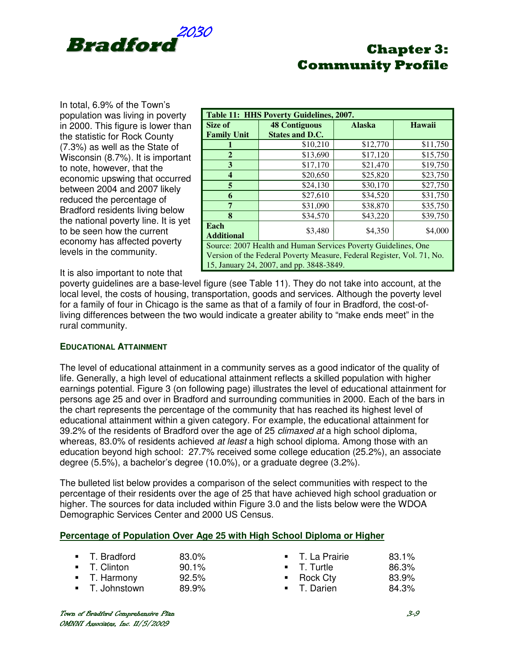

In total, 6.9% of the Town's population was living in poverty in 2000. This figure is lower than the statistic for Rock County (7.3%) as well as the State of Wisconsin (8.7%). It is important to note, however, that the economic upswing that occurred between 2004 and 2007 likely reduced the percentage of Bradford residents living below the national poverty line. It is yet to be seen how the current economy has affected poverty levels in the community.

|                                                                | Table 11: HHS Poverty Guidelines, 2007.                                |               |          |  |  |
|----------------------------------------------------------------|------------------------------------------------------------------------|---------------|----------|--|--|
| Size of                                                        | <b>48 Contiguous</b>                                                   | <b>Alaska</b> | Hawaii   |  |  |
| <b>Family Unit</b>                                             | <b>States and D.C.</b>                                                 |               |          |  |  |
|                                                                | \$10,210                                                               | \$12,770      | \$11,750 |  |  |
| $\overline{2}$                                                 | \$13,690                                                               | \$17,120      | \$15,750 |  |  |
| 3                                                              | \$17,170                                                               | \$21,470      | \$19,750 |  |  |
| 4                                                              | \$20,650                                                               | \$25,820      | \$23,750 |  |  |
| 5                                                              | \$24,130                                                               | \$30,170      | \$27,750 |  |  |
| 6                                                              | \$27,610                                                               | \$34,520      | \$31,750 |  |  |
| 7                                                              | \$31,090                                                               | \$38,870      | \$35,750 |  |  |
| 8                                                              | \$34,570                                                               | \$43,220      | \$39,750 |  |  |
| Each<br>\$4,350<br>\$4,000<br>\$3,480<br><b>Additional</b>     |                                                                        |               |          |  |  |
| Source: 2007 Health and Human Services Poverty Guidelines, One |                                                                        |               |          |  |  |
|                                                                | Version of the Federal Poverty Measure, Federal Register, Vol. 71, No. |               |          |  |  |
|                                                                | 15, January 24, 2007, and pp. 3848-3849.                               |               |          |  |  |

It is also important to note that

poverty guidelines are a base-level figure (see Table 11). They do not take into account, at the local level, the costs of housing, transportation, goods and services. Although the poverty level for a family of four in Chicago is the same as that of a family of four in Bradford, the cost-ofliving differences between the two would indicate a greater ability to "make ends meet" in the rural community.

### **EDUCATIONAL ATTAINMENT**

The level of educational attainment in a community serves as a good indicator of the quality of life. Generally, a high level of educational attainment reflects a skilled population with higher earnings potential. Figure 3 (on following page) illustrates the level of educational attainment for persons age 25 and over in Bradford and surrounding communities in 2000. Each of the bars in the chart represents the percentage of the community that has reached its highest level of educational attainment within a given category. For example, the educational attainment for 39.2% of the residents of Bradford over the age of 25 *climaxed at* a high school diploma, whereas, 83.0% of residents achieved *at least* a high school diploma. Among those with an education beyond high school: 27.7% received some college education (25.2%), an associate degree (5.5%), a bachelor's degree (10.0%), or a graduate degree (3.2%).

The bulleted list below provides a comparison of the select communities with respect to the percentage of their residents over the age of 25 that have achieved high school graduation or higher. The sources for data included within Figure 3.0 and the lists below were the WDOA Demographic Services Center and 2000 US Census.

### **Percentage of Population Over Age 25 with High School Diploma or Higher**

| • T. Bradford  | 83.0%    | ■ T. La Prairie         | 83.1% |
|----------------|----------|-------------------------|-------|
| ■ T. Clinton   | $90.1\%$ | <b>T. Turtle</b>        | 86.3% |
| • T. Harmony   | 92.5%    | $\blacksquare$ Rock Cty | 83.9% |
| ■ T. Johnstown | 89.9%    | ■ T. Darien             | 84.3% |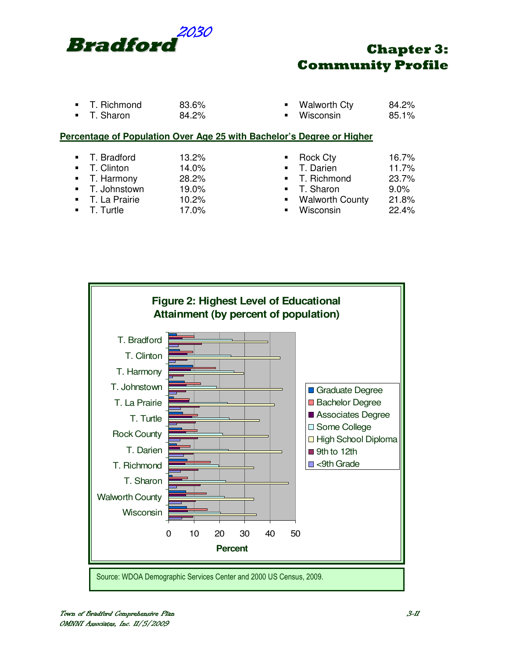

- T. Richmond 83.6%<br>T. Sharon 84.2% T. Sharon
- Walworth Cty 84.2%<br>Wisconsin 85.1%
- Wisconsin

## **Percentage of Population Over Age 25 with Bachelor's Degree or Higher**

- T. Bradford 13.2%
- 
- T. Clinton 14.0%<br>■ T. Harmony 28.2% ■ T. Harmony 28.2%<br>■ T. Johnstown 19.0%
- **T.** Johnstown
- T. La Prairie 10.2%
- T. Turtle 17.0%

| $\blacksquare$ | <b>Rock Cty</b>        | 16.7% |
|----------------|------------------------|-------|
| $\blacksquare$ | T. Darien              | 11.7% |
| $\blacksquare$ | T. Richmond            | 23.7% |
| $\blacksquare$ | T. Sharon              | 9.0%  |
| $\blacksquare$ | <b>Walworth County</b> | 21.8% |
| п              | Wisconsin              | 22.4% |
|                |                        |       |

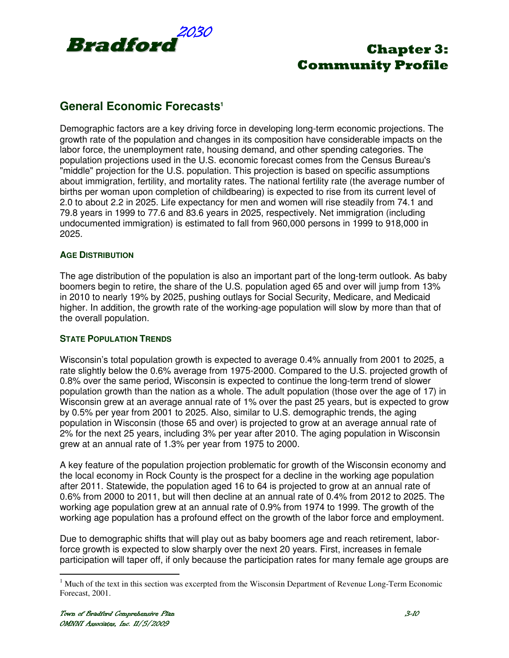

## **General Economic Forecasts<sup>1</sup>**

Demographic factors are a key driving force in developing long-term economic projections. The growth rate of the population and changes in its composition have considerable impacts on the labor force, the unemployment rate, housing demand, and other spending categories. The population projections used in the U.S. economic forecast comes from the Census Bureau's "middle" projection for the U.S. population. This projection is based on specific assumptions about immigration, fertility, and mortality rates. The national fertility rate (the average number of births per woman upon completion of childbearing) is expected to rise from its current level of 2.0 to about 2.2 in 2025. Life expectancy for men and women will rise steadily from 74.1 and 79.8 years in 1999 to 77.6 and 83.6 years in 2025, respectively. Net immigration (including undocumented immigration) is estimated to fall from 960,000 persons in 1999 to 918,000 in 2025.

## **AGE DISTRIBUTION**

The age distribution of the population is also an important part of the long-term outlook. As baby boomers begin to retire, the share of the U.S. population aged 65 and over will jump from 13% in 2010 to nearly 19% by 2025, pushing outlays for Social Security, Medicare, and Medicaid higher. In addition, the growth rate of the working-age population will slow by more than that of the overall population.

## **STATE POPULATION TRENDS**

Wisconsin's total population growth is expected to average 0.4% annually from 2001 to 2025, a rate slightly below the 0.6% average from 1975-2000. Compared to the U.S. projected growth of 0.8% over the same period, Wisconsin is expected to continue the long-term trend of slower population growth than the nation as a whole. The adult population (those over the age of 17) in Wisconsin grew at an average annual rate of 1% over the past 25 years, but is expected to grow by 0.5% per year from 2001 to 2025. Also, similar to U.S. demographic trends, the aging population in Wisconsin (those 65 and over) is projected to grow at an average annual rate of 2% for the next 25 years, including 3% per year after 2010. The aging population in Wisconsin grew at an annual rate of 1.3% per year from 1975 to 2000.

A key feature of the population projection problematic for growth of the Wisconsin economy and the local economy in Rock County is the prospect for a decline in the working age population after 2011. Statewide, the population aged 16 to 64 is projected to grow at an annual rate of 0.6% from 2000 to 2011, but will then decline at an annual rate of 0.4% from 2012 to 2025. The working age population grew at an annual rate of 0.9% from 1974 to 1999. The growth of the working age population has a profound effect on the growth of the labor force and employment.

Due to demographic shifts that will play out as baby boomers age and reach retirement, laborforce growth is expected to slow sharply over the next 20 years. First, increases in female participation will taper off, if only because the participation rates for many female age groups are

<sup>&</sup>lt;sup>1</sup> Much of the text in this section was excerpted from the Wisconsin Department of Revenue Long-Term Economic Forecast, 2001.